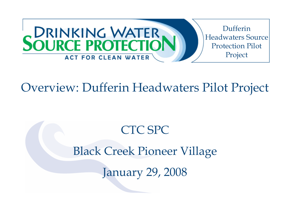

### Overview: Dufferin Headwaters Pilot Project

### CTC SPC

### Black Creek Pioneer Village

January 29, 2008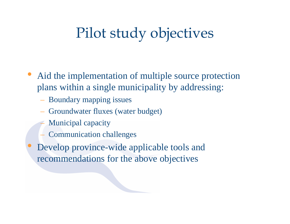# Pilot study objectives

- Aid the implementation of multiple source protection plans within a single municipality by addressing:
	- Boundary mapping issues
	- Groundwater fluxes (water budget)
	- Municipal capacity
	- Communication challenges
- $\bullet$  Develop province-wide applicable tools and recommendations for the above objectives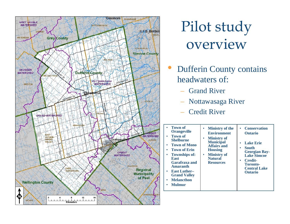

Pilot study overview

- $\bullet$  Dufferin County contains headwaters of:
	- Grand River
	- Nottawasaga River
	- Credit River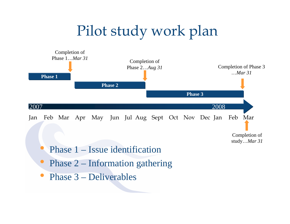# Pilot study work plan



- $\bullet$ Phase 2 – Information gathering
- $\bullet$ Phase 3 – Deliverables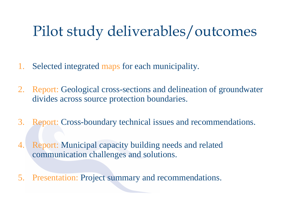# Pilot study deliverables/outcomes

- 1.Selected integrated maps for each municipality.
- 2. Report: Geological cross-sections and delineation of groundwater divides across source protection boundaries.
- 3. Report: Cross-boundary technical issues and recommendations.
- 4. Report: Municipal capacity building needs and related communication challenges and solutions.
- 5. Presentation: Project summary and recommendations.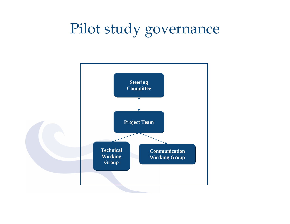# Pilot study governance

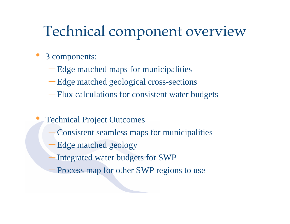# Technical component overview

#### $\bullet$ 3 components:

 $\bullet$ 

- Edge matched maps for municipalities
- Edge matched geological cross-sections
- Flux calculations for consistent water budgets
- Technical Project Outcomes
	- Consistent seamless maps for municipalities
	- Edge matched geology
	- –Integrated water budgets for SWP
	- Process map for other SWP regions to use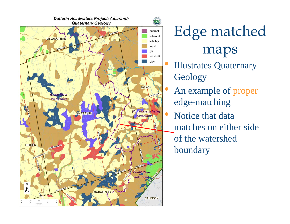

Edge matched maps

- Illustrates Quaternary **Geology**
- An example of proper edge-matching
- $\bullet$  Notice that data matches on either side of the watershed boundary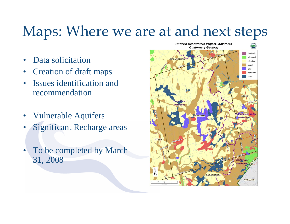# Maps: Where we are at and next steps

- •Data solicitation
- •Creation of draft maps
- • Issues identification and recommendation
- •Vulnerable Aquifers
- •Significant Recharge areas
- • To be completed by March 31, 2008

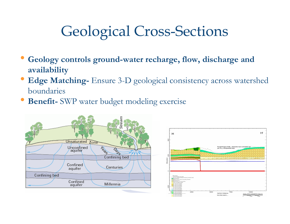# Geological Cross-Sections

- $\bullet$  **Geology controls ground-water recharge, flow, discharge and availability**
- • **Edge Matching-** Ensure 3-D geological consistency across watershed boundaries
- •**Benefit-** SWP water budget modeling exercise



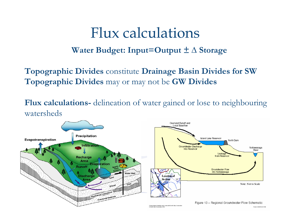## Flux calculations

#### **Water Budget: Input=Output ± ∆ Storage**

**Topographic Divides** constitute **Drainage Basin Divides for SW Topographic Divides** may or may not be **GW Divides**

**Flux calculations-** delineation of water gained or lose to neighbouring watersheds

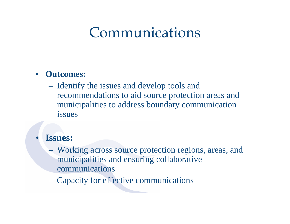## Communications

#### $\bullet$ **Outcomes:**

 Identify the issues and develop tools and recommendations to aid source protection areas and municipalities to address boundary communication issues

#### •**Issues:**

- Working across source protection regions, areas, and municipalities and ensuring collaborative communications
- Capacity for effective communications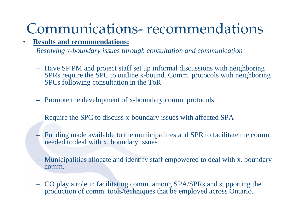# Communications- recommendations

#### •**Results and recommendations:**

*Resolving x-boundary issues through consultation and communication*

- Have SP PM and project staff set up informal discussions with neighboring SPRs require the SPC to outline x-bound. Comm. protocols with neighboring SPCs following consultation in the ToR
- Promote the development of x-boundary comm. protocols
- Require the SPC to discuss x-boundary issues with affected SPA
- Funding made available to the municipalities and SPR to facilitate the comm. needed to deal with x. boundary issues
- Municipalities allocate and identify staff empowered to deal with x. boundary comm.
- CO play a role in facilitating comm. among SPA/SPRs and supporting the production of comm. tools/techniques that be employed across Ontario.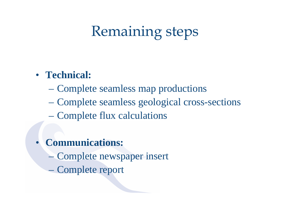# Remaining steps

### • **Technical:**

- Complete seamless map productions
- Complete seamless geological cross-sections
- Complete flux calculations
- • **Communications:**
	- Complete newspaper insert
	- Complete report